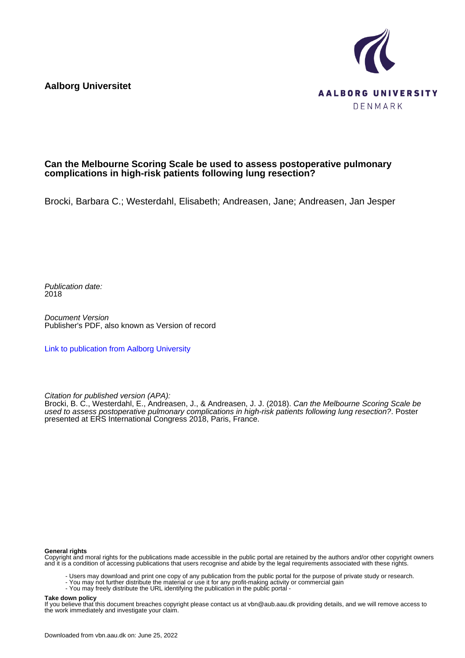**Aalborg Universitet**



#### **Can the Melbourne Scoring Scale be used to assess postoperative pulmonary complications in high-risk patients following lung resection?**

Brocki, Barbara C.; Westerdahl, Elisabeth; Andreasen, Jane; Andreasen, Jan Jesper

Publication date: 2018

Document Version Publisher's PDF, also known as Version of record

[Link to publication from Aalborg University](https://vbn.aau.dk/en/publications/7c085b30-061d-446d-b45a-bc0b2c717147)

Citation for published version (APA):

Brocki, B. C., Westerdahl, E., Andreasen, J., & Andreasen, J. J. (2018). Can the Melbourne Scoring Scale be used to assess postoperative pulmonary complications in high-risk patients following lung resection?. Poster presented at ERS International Congress 2018, Paris, France.

#### **General rights**

Copyright and moral rights for the publications made accessible in the public portal are retained by the authors and/or other copyright owners and it is a condition of accessing publications that users recognise and abide by the legal requirements associated with these rights.

- Users may download and print one copy of any publication from the public portal for the purpose of private study or research.
- You may not further distribute the material or use it for any profit-making activity or commercial gain
- You may freely distribute the URL identifying the publication in the public portal -

#### **Take down policy**

If you believe that this document breaches copyright please contact us at vbn@aub.aau.dk providing details, and we will remove access to the work immediately and investigate your claim.